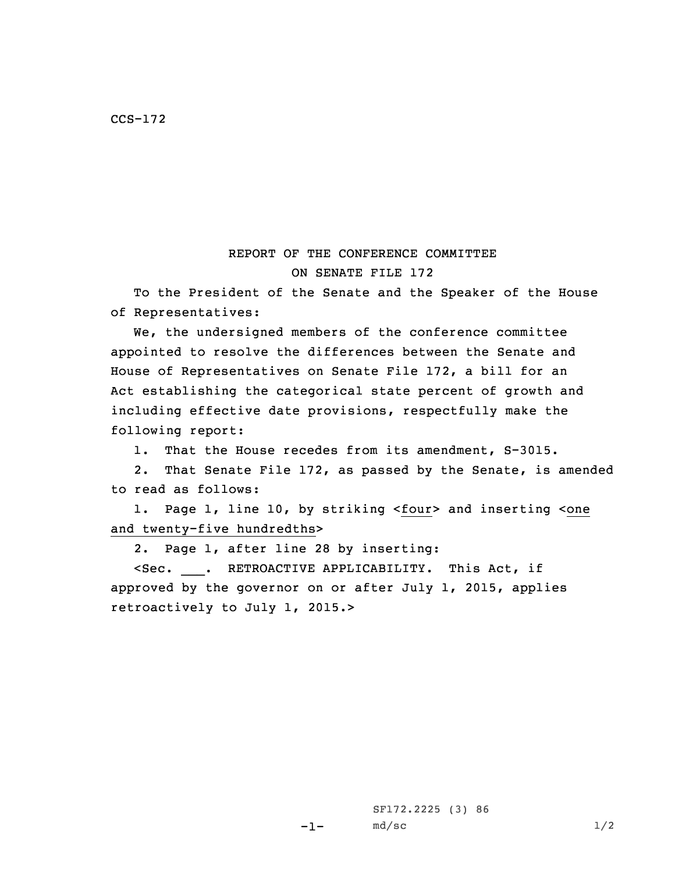## REPORT OF THE CONFERENCE COMMITTEE

## ON SENATE FILE 172

To the President of the Senate and the Speaker of the House of Representatives:

We, the undersigned members of the conference committee appointed to resolve the differences between the Senate and House of Representatives on Senate File 172, <sup>a</sup> bill for an Act establishing the categorical state percent of growth and including effective date provisions, respectfully make the following report:

1. That the House recedes from its amendment, S-3015.

2. That Senate File 172, as passed by the Senate, is amended to read as follows:

1. Page 1, line 10, by striking <four> and inserting <one and twenty-five hundredths>

2. Page 1, after line 28 by inserting:

<Sec. \_\_\_. RETROACTIVE APPLICABILITY. This Act, if approved by the governor on or after July 1, 2015, applies retroactively to July 1, 2015.>

 $-1-$